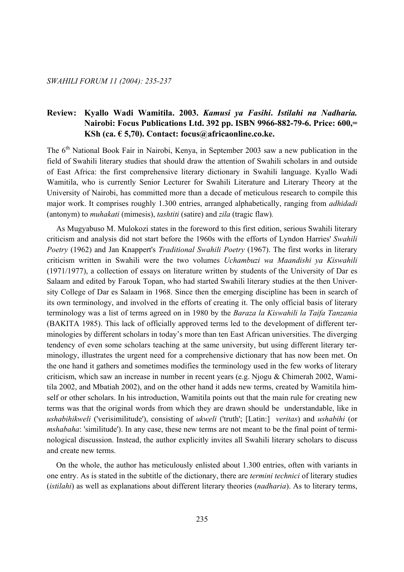# **Review: Kyallo Wadi Wamitila. 2003.** *Kamusi ya Fasihi***.** *Istilahi na Nadharia.*  **Nairobi: Focus Publications Ltd. 392 pp. ISBN 9966-882-79-6. Price: 600,= KSh (ca. € 5,70). Contact: focus@africaonline.co.ke.**

The 6<sup>th</sup> National Book Fair in Nairobi, Kenya, in September 2003 saw a new publication in the field of Swahili literary studies that should draw the attention of Swahili scholars in and outside of East Africa: the first comprehensive literary dictionary in Swahili language. Kyallo Wadi Wamitila, who is currently Senior Lecturer for Swahili Literature and Literary Theory at the University of Nairobi, has committed more than a decade of meticulous research to compile this major work. It comprises roughly 1.300 entries, arranged alphabetically, ranging from *adhidadi*  (antonym) to *muhakati* (mimesis), *tashtiti* (satire) and *zila* (tragic flaw)*.* 

 As Mugyabuso M. Mulokozi states in the foreword to this first edition, serious Swahili literary criticism and analysis did not start before the 1960s with the efforts of Lyndon Harries' *Swahili Poetry* (1962) and Jan Knappert's *Traditional Swahili Poetry* (1967). The first works in literary criticism written in Swahili were the two volumes *Uchambuzi wa Maandishi ya Kiswahili*  (1971/1977), a collection of essays on literature written by students of the University of Dar es Salaam and edited by Farouk Topan, who had started Swahili literary studies at the then University College of Dar es Salaam in 1968. Since then the emerging discipline has been in search of its own terminology, and involved in the efforts of creating it. The only official basis of literary terminology was a list of terms agreed on in 1980 by the *Baraza la Kiswahili la Taifa Tanzania*  (BAKITA 1985). This lack of officially approved terms led to the development of different terminologies by different scholars in today's more than ten East African universities. The diverging tendency of even some scholars teaching at the same university, but using different literary terminology, illustrates the urgent need for a comprehensive dictionary that has now been met. On the one hand it gathers and sometimes modifies the terminology used in the few works of literary criticism, which saw an increase in number in recent years (e.g. Njogu & Chimerah 2002, Wamitila 2002, and Mbatiah 2002), and on the other hand it adds new terms, created by Wamitila himself or other scholars. In his introduction, Wamitila points out that the main rule for creating new terms was that the original words from which they are drawn should be understandable, like in *ushabihikweli* ('verisimilitude'), consisting of *ukweli* ('truth'; [Latin:] *veritas*) and *ushabihi* (or *mshabaha*: 'similitude'). In any case, these new terms are not meant to be the final point of terminological discussion. Instead, the author explicitly invites all Swahili literary scholars to discuss and create new terms.

 On the whole, the author has meticulously enlisted about 1.300 entries, often with variants in one entry. As is stated in the subtitle of the dictionary, there are *termini technici* of literary studies (*istilahi*) as well as explanations about different literary theories (*nadharia*). As to literary terms,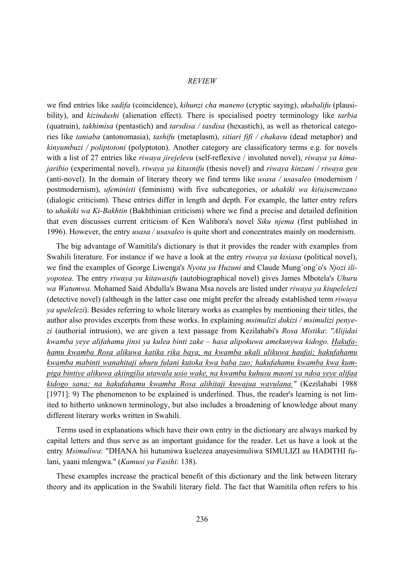#### *REVIEW*

we find entries like *sadifa* (coincidence), *kihunzi cha maneno* (cryptic saying), *ukubalifu* (plausibility), and *kizindushi* (alienation effect). There is specialised poetry terminology like *tarbia* (quatrain), *takhimisa* (pentastich) and *tarsdisa / tasdisa* (hexastich), as well as rhetorical categories like *taniaba* (antonomasia), *tashifu* (metaplasm), *sitiari fifi / chakavu* (dead metaphor) and *kinyumbuzi / poliptotoni* (polyptoton). Another category are classificatory terms e.g. for novels with a list of 27 entries like *riwaya jirejelevu* (self-reflexive / involuted novel), *riwaya ya kimajaribio* (experimental novel), *riwaya ya kitasnifu* (thesis novel) and *riwaya kinzani / riwaya geu*  (anti-novel). In the domain of literary theory we find terms like *usasa / usasaleo* (modernism / postmodernism), *ufeministi* (feminism) with five subcategories, or *uhakiki wa ki(u)semezano*  (dialogic criticism). These entries differ in length and depth. For example, the latter entry refers to *uhakiki wa Ki-Bakhtin* (Bakhthinian criticism) where we find a precise and detailed definition that even discusses current criticism of Ken Walibora's novel *Siku njema* (first published in 1996). However, the entry *usasa / usasaleo* is quite short and concentrates mainly on modernism.

 The big advantage of Wamitila's dictionary is that it provides the reader with examples from Swahili literature. For instance if we have a look at the entry *riwaya ya kisiasa* (political novel), we find the examples of George Liwenga's *Nyota ya Huzuni* and Claude Mung`ong`o's *Njozi iliyopotea.* The entry *riwaya ya kitawasifu* (autobiographical novel) gives James Mbotela's *Uhuru wa Watumwa.* Mohamed Said Abdulla's Bwana Msa novels are listed under *riwaya ya kiupelelezi*  (detective novel) (although in the latter case one might prefer the already established term *riwaya ya upelelezi*). Besides referring to whole literary works as examples by mentioning their titles, the author also provides excerpts from these works. In explaining *msimulizi dukizi / msimulizi penyezi* (authorial intrusion), we are given a text passage from Kezilahabi's *Rosa Mistika*: *"Alijidai kwamba yeye alifahamu jinsi ya kulea binti zake – hasa alipokuwa amekunywa kidogo. Hakufahamu kwamba Rosa alikuwa katika rika baya, na kwamba ukali ulikuwa haufai; hakufahamu kwamba mabinti wanahitaji uhuru fulani kutoka kwa baba zao; hakufahamu kwamba kwa kumpiga bintiye alikuwa akiingilia utawala usio wake, na kwamba kuhusu maoni ya ndoa yeye alifaa kidogo sana; na hakufahamu kwamba Rosa alihitaji kuwajua wavulana."* (Kezilahabi 1988 [1971]: 9) The phenomenon to be explained is underlined. Thus, the reader's learning is not limited to hitherto unknown terminology, but also includes a broadening of knowledge about many different literary works written in Swahili.

 Terms used in explanations which have their own entry in the dictionary are always marked by capital letters and thus serve as an important guidance for the reader. Let us have a look at the entry *Msimuliwa*: "DHANA hii hutumiwa kuelezea anayesimuliwa SIMULIZI au HADITHI fulani, yaani mlengwa." (*Kamusi ya Fasihi*: 138).

 These examples increase the practical benefit of this dictionary and the link between literary theory and its application in the Swahili literary field. The fact that Wamitila often refers to his